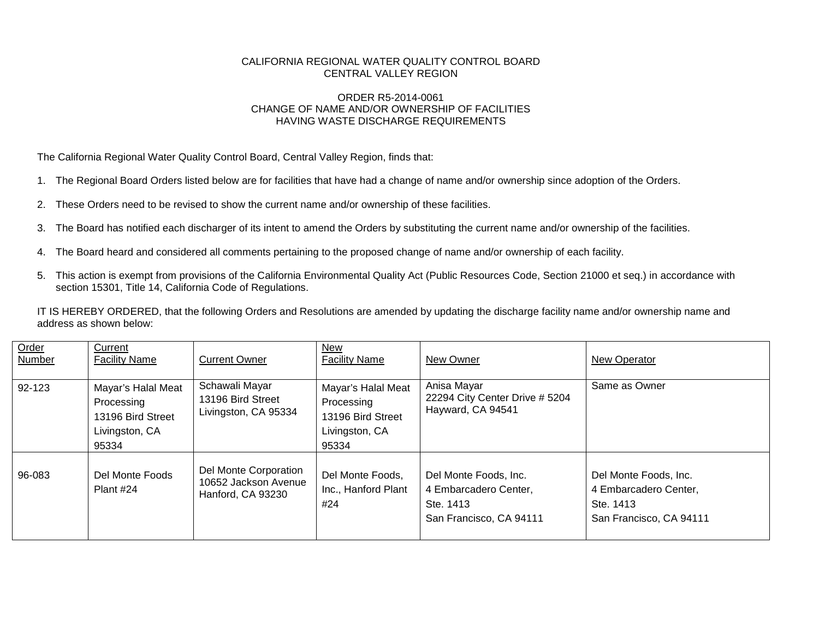## CALIFORNIA REGIONAL WATER QUALITY CONTROL BOARD CENTRAL VALLEY REGION

## ORDER R5-2014-0061 CHANGE OF NAME AND/OR OWNERSHIP OF FACILITIES HAVING WASTE DISCHARGE REQUIREMENTS

The California Regional Water Quality Control Board, Central Valley Region, finds that:

- 1. The Regional Board Orders listed below are for facilities that have had a change of name and/or ownership since adoption of the Orders.
- 2. These Orders need to be revised to show the current name and/or ownership of these facilities.
- 3. The Board has notified each discharger of its intent to amend the Orders by substituting the current name and/or ownership of the facilities.
- 4. The Board heard and considered all comments pertaining to the proposed change of name and/or ownership of each facility.
- 5. This action is exempt from provisions of the California Environmental Quality Act (Public Resources Code, Section 21000 et seq.) in accordance with section 15301, Title 14, California Code of Regulations.

IT IS HEREBY ORDERED, that the following Orders and Resolutions are amended by updating the discharge facility name and/or ownership name and address as shown below:

| Order<br><b>Number</b> | Current<br><b>Facility Name</b>                                                  | <b>Current Owner</b>                                               | New<br><b>Facility Name</b>                                                      | New Owner                                                                              | New Operator                                                                           |
|------------------------|----------------------------------------------------------------------------------|--------------------------------------------------------------------|----------------------------------------------------------------------------------|----------------------------------------------------------------------------------------|----------------------------------------------------------------------------------------|
| 92-123                 | Mayar's Halal Meat<br>Processing<br>13196 Bird Street<br>Livingston, CA<br>95334 | Schawali Mayar<br>13196 Bird Street<br>Livingston, CA 95334        | Mayar's Halal Meat<br>Processing<br>13196 Bird Street<br>Livingston, CA<br>95334 | Anisa Mayar<br>22294 City Center Drive # 5204<br>Hayward, CA 94541                     | Same as Owner                                                                          |
| 96-083                 | Del Monte Foods<br>Plant #24                                                     | Del Monte Corporation<br>10652 Jackson Avenue<br>Hanford, CA 93230 | Del Monte Foods,<br>Inc., Hanford Plant<br>#24                                   | Del Monte Foods, Inc.<br>4 Embarcadero Center,<br>Ste. 1413<br>San Francisco, CA 94111 | Del Monte Foods, Inc.<br>4 Embarcadero Center,<br>Ste. 1413<br>San Francisco, CA 94111 |